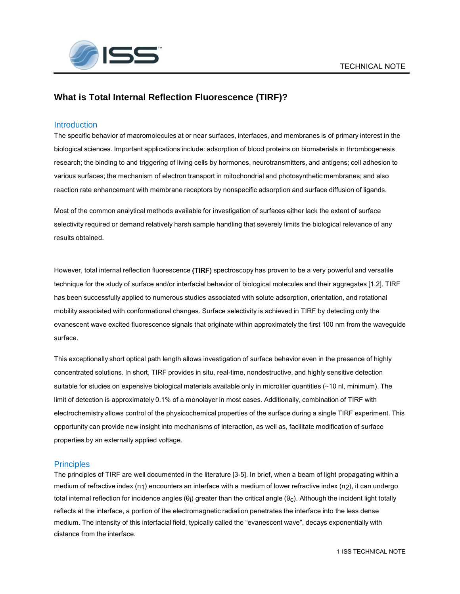

# **What is Total Internal Reflection Fluorescence (TIRF)?**

## **Introduction**

The specific behavior of macromolecules at or near surfaces, interfaces, and membranes is of primary interest in the biological sciences. Important applications include: adsorption of blood proteins on biomaterials in thrombogenesis research; the binding to and triggering of living cells by hormones, neurotransmitters, and antigens; cell adhesion to various surfaces; the mechanism of electron transport in mitochondrial and photosynthetic membranes; and also reaction rate enhancement with membrane receptors by nonspecific adsorption and surface diffusion of ligands.

Most of the common analytical methods available for investigation of surfaces either lack the extent of surface selectivity required or demand relatively harsh sample handling that severely limits the biological relevance of any results obtained.

However, total internal reflection fluorescence (TIRF) spectroscopy has proven to be a very powerful and versatile technique for the study of surface and/or interfacial behavior of biological molecules and their aggregates [1,2]. TIRF has been successfully applied to numerous studies associated with solute adsorption, orientation, and rotational mobility associated with conformational changes. Surface selectivity is achieved in TIRF by detecting only the evanescent wave excited fluorescence signals that originate within approximately the first 100 nm from the waveguide surface.

This exceptionally short optical path length allows investigation of surface behavior even in the presence of highly concentrated solutions. In short, TIRF provides in situ, real-time, nondestructive, and highly sensitive detection suitable for studies on expensive biological materials available only in microliter quantities (~10 nl, minimum). The limit of detection is approximately 0.1% of a monolayer in most cases. Additionally, combination of TIRF with electrochemistry allows control of the physicochemical properties of the surface during a single TIRF experiment. This opportunity can provide new insight into mechanisms of interaction, as well as, facilitate modification of surface properties by an externally applied voltage.

## **Principles**

The principles of TIRF are well documented in the literature [3-5]. In brief, when a beam of light propagating within a medium of refractive index (n<sub>1</sub>) encounters an interface with a medium of lower refractive index (n<sub>2</sub>), it can undergo total internal reflection for incidence angles (θ¡) greater than the critical angle (θ<sub>C</sub>). Although the incident light totally reflects at the interface, a portion of the electromagnetic radiation penetrates the interface into the less dense medium. The intensity of this interfacial field, typically called the "evanescent wave", decays exponentially with distance from the interface.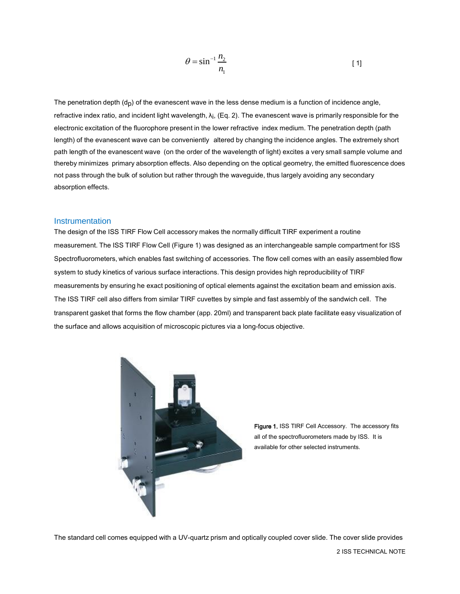$$
\theta = \sin^{-1} \frac{n_2}{n_1} \tag{1}
$$

The penetration depth  $(d<sub>D</sub>)$  of the evanescent wave in the less dense medium is a function of incidence angle, refractive index ratio, and incident light wavelength, λi , (Eq. 2). The evanescent wave is primarily responsible for the electronic excitation of the fluorophore present in the lower refractive index medium. The penetration depth (path length) of the evanescent wave can be conveniently altered by changing the incidence angles. The extremely short path length of the evanescent wave (on the order of the wavelength of light) excites a very small sample volume and thereby minimizes primary absorption effects. Also depending on the optical geometry, the emitted fluorescence does not pass through the bulk of solution but rather through the waveguide, thus largely avoiding any secondary absorption effects.

#### **Instrumentation**

The design of the ISS TIRF Flow Cell accessory makes the normally difficult TIRF experiment a routine measurement. The ISS TIRF Flow Cell (Figure 1) was designed as an interchangeable sample compartment for ISS Spectrofluorometers, which enables fast switching of accessories. The flow cell comes with an easily assembled flow system to study kinetics of various surface interactions. This design provides high reproducibility of TIRF measurements by ensuring he exact positioning of optical elements against the excitation beam and emission axis. The ISS TIRF cell also differs from similar TIRF cuvettes by simple and fast assembly of the sandwich cell. The transparent gasket that forms the flow chamber (app. 20ml) and transparent back plate facilitate easy visualization of the surface and allows acquisition of microscopic pictures via a long-focus objective.



Figure 1. ISS TIRF Cell Accessory. The accessory fits all of the spectrofluorometers made by ISS. It is available for other selected instruments.

The standard cell comes equipped with a UV-quartz prism and optically coupled cover slide. The cover slide provides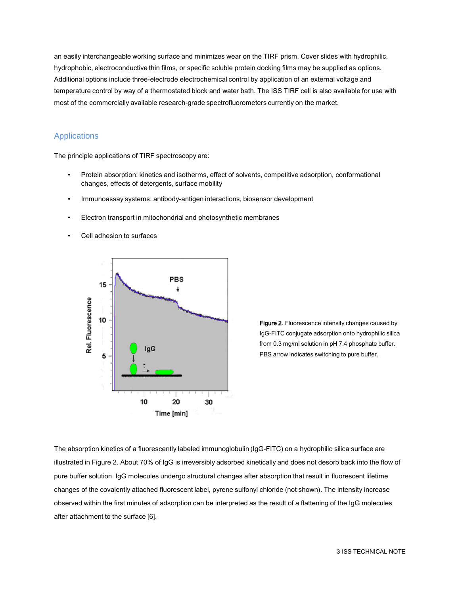an easily interchangeable working surface and minimizes wear on the TIRF prism. Cover slides with hydrophilic, hydrophobic, electroconductive thin films, or specific soluble protein docking films may be supplied as options. Additional options include three-electrode electrochemical control by application of an external voltage and temperature control by way of a thermostated block and water bath. The ISS TIRF cell is also available for use with most of the commercially available research-grade spectrofluorometers currently on the market.

# Applications

The principle applications of TIRF spectroscopy are:

- Protein absorption: kinetics and isotherms, effect of solvents, competitive adsorption, conformational changes, effects of detergents, surface mobility
- Immunoassay systems: antibody-antigen interactions, biosensor development
- Electron transport in mitochondrial and photosynthetic membranes
- Cell adhesion to surfaces



Figure 2. Fluorescence intensity changes caused by IgG-FITC conjugate adsorption onto hydrophilic silica from 0.3 mg/ml solution in pH 7.4 phosphate buffer. PBS arrow indicates switching to pure buffer.

The absorption kinetics of a fluorescently labeled immunoglobulin (IgG-FITC) on a hydrophilic silica surface are illustrated in Figure 2. About 70% of IgG is irreversibly adsorbed kinetically and does not desorb back into the flow of pure buffer solution. IgG molecules undergo structural changes after absorption that result in fluorescent lifetime changes of the covalently attached fluorescent label, pyrene sulfonyl chloride (not shown). The intensity increase observed within the first minutes of adsorption can be interpreted as the result of a flattening of the IgG molecules after attachment to the surface [6].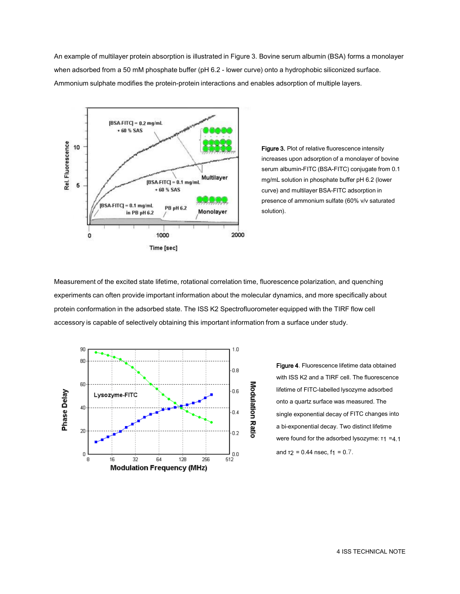An example of multilayer protein absorption is illustrated in Figure 3. Bovine serum albumin (BSA) forms a monolayer when adsorbed from a 50 mM phosphate buffer (pH 6.2 - lower curve) onto a hydrophobic siliconized surface. Ammonium sulphate modifies the protein-protein interactions and enables adsorption of multiple layers.



Figure 3. Plot of relative fluorescence intensity increases upon adsorption of a monolayer of bovine serum albumin-FITC (BSA-FITC) conjugate from 0.1 mg/mL solution in phosphate buffer pH 6.2 (lower curve) and multilayer BSA-FITC adsorption in presence of ammonium sulfate (60% v/v saturated solution).

Measurement of the excited state lifetime, rotational correlation time, fluorescence polarization, and quenching experiments can often provide important information about the molecular dynamics, and more specifically about protein conformation in the adsorbed state. The ISS K2 Spectrofluorometer equipped with the TIRF flow cell accessory is capable of selectively obtaining this important information from a surface under study.



Figure 4. Fluorescence lifetime data obtained with ISS K2 and a TIRF cell. The fluorescence lifetime of FITC-labelled lysozyme adsorbed onto a quartz surface was measured. The single exponential decay of FITC changes into a bi-exponential decay. Two distinct lifetime were found for the adsorbed lysozyme: τ1 =4.1 and  $T2 = 0.44$  nsec,  $f_1 = 0.7$ .